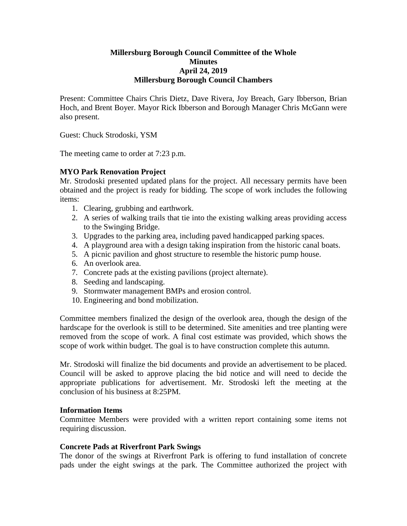# **Millersburg Borough Council Committee of the Whole Minutes April 24, 2019 Millersburg Borough Council Chambers**

Present: Committee Chairs Chris Dietz, Dave Rivera, Joy Breach, Gary Ibberson, Brian Hoch, and Brent Boyer. Mayor Rick Ibberson and Borough Manager Chris McGann were also present.

Guest: Chuck Strodoski, YSM

The meeting came to order at 7:23 p.m.

# **MYO Park Renovation Project**

Mr. Strodoski presented updated plans for the project. All necessary permits have been obtained and the project is ready for bidding. The scope of work includes the following items:

- 1. Clearing, grubbing and earthwork.
- 2. A series of walking trails that tie into the existing walking areas providing access to the Swinging Bridge.
- 3. Upgrades to the parking area, including paved handicapped parking spaces.
- 4. A playground area with a design taking inspiration from the historic canal boats.
- 5. A picnic pavilion and ghost structure to resemble the historic pump house.
- 6. An overlook area.
- 7. Concrete pads at the existing pavilions (project alternate).
- 8. Seeding and landscaping.
- 9. Stormwater management BMPs and erosion control.
- 10. Engineering and bond mobilization.

Committee members finalized the design of the overlook area, though the design of the hardscape for the overlook is still to be determined. Site amenities and tree planting were removed from the scope of work. A final cost estimate was provided, which shows the scope of work within budget. The goal is to have construction complete this autumn.

Mr. Strodoski will finalize the bid documents and provide an advertisement to be placed. Council will be asked to approve placing the bid notice and will need to decide the appropriate publications for advertisement. Mr. Strodoski left the meeting at the conclusion of his business at 8:25PM.

# **Information Items**

Committee Members were provided with a written report containing some items not requiring discussion.

# **Concrete Pads at Riverfront Park Swings**

The donor of the swings at Riverfront Park is offering to fund installation of concrete pads under the eight swings at the park. The Committee authorized the project with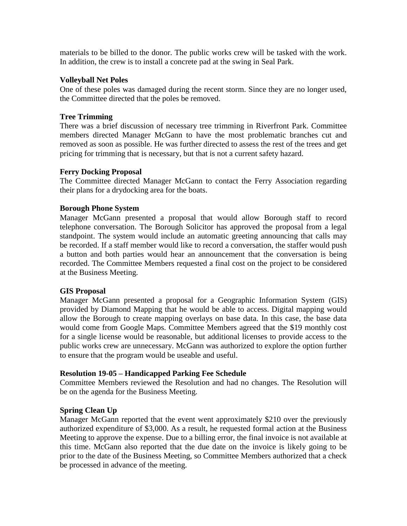materials to be billed to the donor. The public works crew will be tasked with the work. In addition, the crew is to install a concrete pad at the swing in Seal Park.

#### **Volleyball Net Poles**

One of these poles was damaged during the recent storm. Since they are no longer used, the Committee directed that the poles be removed.

# **Tree Trimming**

There was a brief discussion of necessary tree trimming in Riverfront Park. Committee members directed Manager McGann to have the most problematic branches cut and removed as soon as possible. He was further directed to assess the rest of the trees and get pricing for trimming that is necessary, but that is not a current safety hazard.

# **Ferry Docking Proposal**

The Committee directed Manager McGann to contact the Ferry Association regarding their plans for a drydocking area for the boats.

# **Borough Phone System**

Manager McGann presented a proposal that would allow Borough staff to record telephone conversation. The Borough Solicitor has approved the proposal from a legal standpoint. The system would include an automatic greeting announcing that calls may be recorded. If a staff member would like to record a conversation, the staffer would push a button and both parties would hear an announcement that the conversation is being recorded. The Committee Members requested a final cost on the project to be considered at the Business Meeting.

# **GIS Proposal**

Manager McGann presented a proposal for a Geographic Information System (GIS) provided by Diamond Mapping that he would be able to access. Digital mapping would allow the Borough to create mapping overlays on base data. In this case, the base data would come from Google Maps. Committee Members agreed that the \$19 monthly cost for a single license would be reasonable, but additional licenses to provide access to the public works crew are unnecessary. McGann was authorized to explore the option further to ensure that the program would be useable and useful.

# **Resolution 19-05 – Handicapped Parking Fee Schedule**

Committee Members reviewed the Resolution and had no changes. The Resolution will be on the agenda for the Business Meeting.

# **Spring Clean Up**

Manager McGann reported that the event went approximately \$210 over the previously authorized expenditure of \$3,000. As a result, he requested formal action at the Business Meeting to approve the expense. Due to a billing error, the final invoice is not available at this time. McGann also reported that the due date on the invoice is likely going to be prior to the date of the Business Meeting, so Committee Members authorized that a check be processed in advance of the meeting.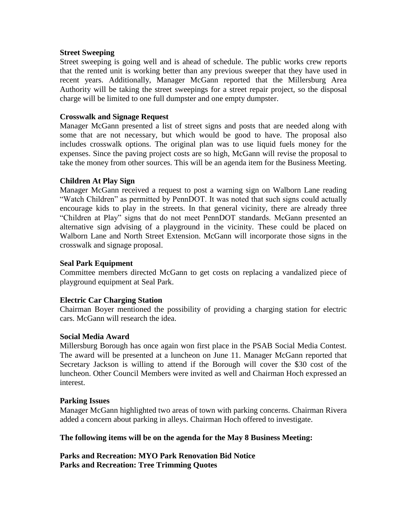#### **Street Sweeping**

Street sweeping is going well and is ahead of schedule. The public works crew reports that the rented unit is working better than any previous sweeper that they have used in recent years. Additionally, Manager McGann reported that the Millersburg Area Authority will be taking the street sweepings for a street repair project, so the disposal charge will be limited to one full dumpster and one empty dumpster.

#### **Crosswalk and Signage Request**

Manager McGann presented a list of street signs and posts that are needed along with some that are not necessary, but which would be good to have. The proposal also includes crosswalk options. The original plan was to use liquid fuels money for the expenses. Since the paving project costs are so high, McGann will revise the proposal to take the money from other sources. This will be an agenda item for the Business Meeting.

# **Children At Play Sign**

Manager McGann received a request to post a warning sign on Walborn Lane reading "Watch Children" as permitted by PennDOT. It was noted that such signs could actually encourage kids to play in the streets. In that general vicinity, there are already three "Children at Play" signs that do not meet PennDOT standards. McGann presented an alternative sign advising of a playground in the vicinity. These could be placed on Walborn Lane and North Street Extension. McGann will incorporate those signs in the crosswalk and signage proposal.

#### **Seal Park Equipment**

Committee members directed McGann to get costs on replacing a vandalized piece of playground equipment at Seal Park.

# **Electric Car Charging Station**

Chairman Boyer mentioned the possibility of providing a charging station for electric cars. McGann will research the idea.

#### **Social Media Award**

Millersburg Borough has once again won first place in the PSAB Social Media Contest. The award will be presented at a luncheon on June 11. Manager McGann reported that Secretary Jackson is willing to attend if the Borough will cover the \$30 cost of the luncheon. Other Council Members were invited as well and Chairman Hoch expressed an interest.

#### **Parking Issues**

Manager McGann highlighted two areas of town with parking concerns. Chairman Rivera added a concern about parking in alleys. Chairman Hoch offered to investigate.

#### **The following items will be on the agenda for the May 8 Business Meeting:**

**Parks and Recreation: MYO Park Renovation Bid Notice Parks and Recreation: Tree Trimming Quotes**